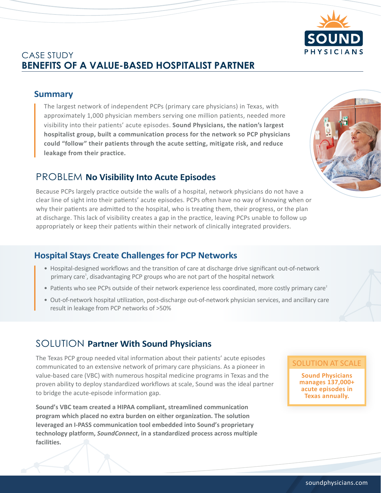

# CASE STUDY **BENEFITS OF A VALUE-BASED HOSPITALIST PARTNER**

#### **Summary**

The largest network of independent PCPs (primary care physicians) in Texas, with approximately 1,000 physician members serving one million patients, needed more visibility into their patients' acute episodes. **Sound Physicians, the nation's largest hospitalist group, built a communication process for the network so PCP physicians could "follow" their patients through the acute setting, mitigate risk, and reduce leakage from their practice.**

### PROBLEM **No Visibility Into Acute Episodes**

Because PCPs largely practice outside the walls of a hospital, network physicians do not have a clear line of sight into their patients' acute episodes. PCPs often have no way of knowing when or why their patients are admitted to the hospital, who is treating them, their progress, or the plan at discharge. This lack of visibility creates a gap in the practice, leaving PCPs unable to follow up appropriately or keep their patients within their network of clinically integrated providers.

#### **Hospital Stays Create Challenges for PCP Networks**

- Hospital-designed workflows and the transition of care at discharge drive significant out-of-network primary care<sup>1</sup>, disadvantaging PCP groups who are not part of the hospital network
- Patients who see PCPs outside of their network experience less coordinated, more costly primary care<sup>2</sup>
- Out-of-network hospital utilization, post-discharge out-of-network physician services, and ancillary care result in leakage from PCP networks of >50%

## SOLUTION **Partner With Sound Physicians**

The Texas PCP group needed vital information about their patients' acute episodes communicated to an extensive network of primary care physicians. As a pioneer in value-based care (VBC) with numerous hospital medicine programs in Texas and the proven ability to deploy standardized workflows at scale, Sound was the ideal partner to bridge the acute-episode information gap.

**Sound's VBC team created a HIPAA compliant, streamlined communication program which placed no extra burden on either organization. The solution leveraged an I-PASS communication tool embedded into Sound's proprietary technology platform,** *SoundConnect***, in a standardized process across multiple facilities.**

#### SOLUTION AT SCALE

**Sound Physicians manages 137,000+ acute episodes in Texas annually.**